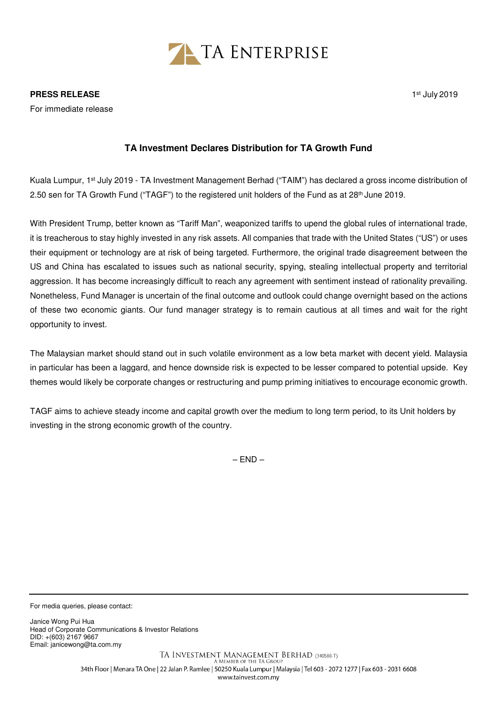

## **TA Investment Declares Distribution for TA Growth Fund**

Kuala Lumpur, 1st July 2019 - TA Investment Management Berhad ("TAIM") has declared a gross income distribution of 2.50 sen for TA Growth Fund ("TAGF") to the registered unit holders of the Fund as at 28<sup>th</sup> June 2019.

With President Trump, better known as "Tariff Man", weaponized tariffs to upend the global rules of international trade, it is treacherous to stay highly invested in any risk assets. All companies that trade with the United States ("US") or uses their equipment or technology are at risk of being targeted. Furthermore, the original trade disagreement between the US and China has escalated to issues such as national security, spying, stealing intellectual property and territorial aggression. It has become increasingly difficult to reach any agreement with sentiment instead of rationality prevailing. Nonetheless, Fund Manager is uncertain of the final outcome and outlook could change overnight based on the actions of these two economic giants. Our fund manager strategy is to remain cautious at all times and wait for the right opportunity to invest.

The Malaysian market should stand out in such volatile environment as a low beta market with decent yield. Malaysia in particular has been a laggard, and hence downside risk is expected to be lesser compared to potential upside. Key themes would likely be corporate changes or restructuring and pump priming initiatives to encourage economic growth.

TAGF aims to achieve steady income and capital growth over the medium to long term period, to its Unit holders by investing in the strong economic growth of the country.

 $-$  END  $-$ 

For media queries, please contact:

Janice Wong Pui Hua Head of Corporate Communications & Investor Relations DID: +(603) 2167 9667 Email: janicewong@ta.com.my